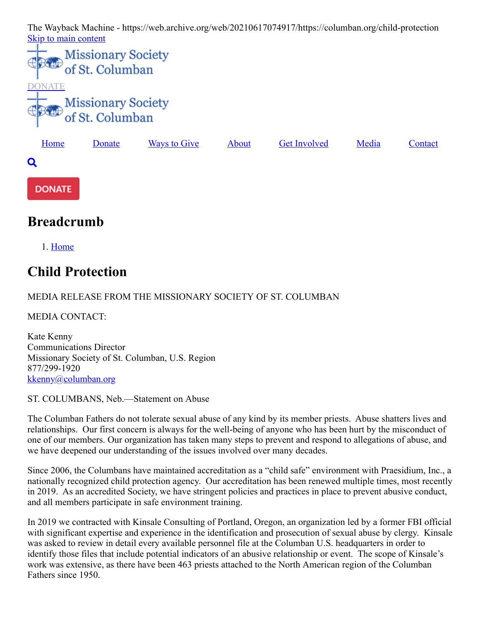The Wayback Machine - https://web.archive.org/web/20210617074917/https://columban.org/child-protection [Skip to main content](#page-0-0)





## <span id="page-0-0"></span>**Breadcrumb**

1. [Home](https://web.archive.org/web/20210617074917/https://columban.org/)

# **Child Protection**

## MEDIA RELEASE FROM THE MISSIONARY SOCIETY OF ST. COLUMBAN

MEDIA CONTACT:

Kate Kenny Communications Director Missionary Society of St. Columban, U.S. Region 877/299-1920 [kkenny@columban.org](https://web.archive.org/web/20210617074917/mailto:kkenny@columban.org)

### ST. COLUMBANS, Neb.—Statement on Abuse

The Columban Fathers do not tolerate sexual abuse of any kind by its member priests. Abuse shatters lives and relationships. Our first concern is always for the well-being of anyone who has been hurt by the misconduct of one of our members. Our organization has taken many steps to prevent and respond to allegations of abuse, and we have deepened our understanding of the issues involved over many decades.

Since 2006, the Columbans have maintained accreditation as a "child safe" environment with Praesidium, Inc., a nationally recognized child protection agency. Our accreditation has been renewed multiple times, most recently in 2019. As an accredited Society, we have stringent policies and practices in place to prevent abusive conduct, and all members participate in safe environment training.

In 2019 we contracted with Kinsale Consulting of Portland, Oregon, an organization led by a former FBI official with significant expertise and experience in the identification and prosecution of sexual abuse by clergy. Kinsale was asked to review in detail every available personnel file at the Columban U.S. headquarters in order to identify those files that include potential indicators of an abusive relationship or event. The scope of Kinsale's work was extensive, as there have been 463 priests attached to the North American region of the Columban Fathers since 1950.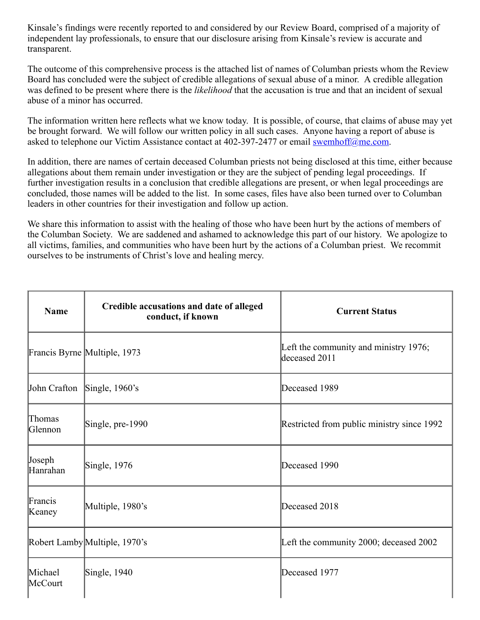Kinsale's findings were recently reported to and considered by our Review Board, comprised of a majority of independent lay professionals, to ensure that our disclosure arising from Kinsale's review is accurate and transparent.

The outcome of this comprehensive process is the attached list of names of Columban priests whom the Review Board has concluded were the subject of credible allegations of sexual abuse of a minor. A credible allegation was defined to be present where there is the *likelihood* that the accusation is true and that an incident of sexual abuse of a minor has occurred.

The information written here reflects what we know today. It is possible, of course, that claims of abuse may yet be brought forward. We will follow our written policy in all such cases. Anyone having a report of abuse is asked to telephone our Victim Assistance contact at 402-397-2477 or email [swemhoff@me.com](https://web.archive.org/web/20210617074917/mailto:swemhoff@me.com).

In addition, there are names of certain deceased Columban priests not being disclosed at this time, either because allegations about them remain under investigation or they are the subject of pending legal proceedings. If further investigation results in a conclusion that credible allegations are present, or when legal proceedings are concluded, those names will be added to the list. In some cases, files have also been turned over to Columban leaders in other countries for their investigation and follow up action.

We share this information to assist with the healing of those who have been hurt by the actions of members of the Columban Society. We are saddened and ashamed to acknowledge this part of our history. We apologize to all victims, families, and communities who have been hurt by the actions of a Columban priest. We recommit ourselves to be instruments of Christ's love and healing mercy.

| <b>Name</b>                 | Credible accusations and date of alleged<br>conduct, if known | <b>Current Status</b>                                  |
|-----------------------------|---------------------------------------------------------------|--------------------------------------------------------|
|                             | Francis Byrne Multiple, 1973                                  | Left the community and ministry 1976;<br>deceased 2011 |
| John Crafton Single, 1960's |                                                               | Deceased 1989                                          |
| Thomas<br>Glennon           | Single, pre-1990                                              | Restricted from public ministry since 1992             |
| Joseph<br>Hanrahan          | Single, $1976$                                                | Deceased 1990                                          |
| Francis<br>Keaney           | Multiple, 1980's                                              | Deceased 2018                                          |
|                             | Robert Lamby Multiple, 1970's                                 | Left the community 2000; deceased 2002                 |
| Michael<br>McCourt          | $\text{Single}, 1940$                                         | Deceased 1977                                          |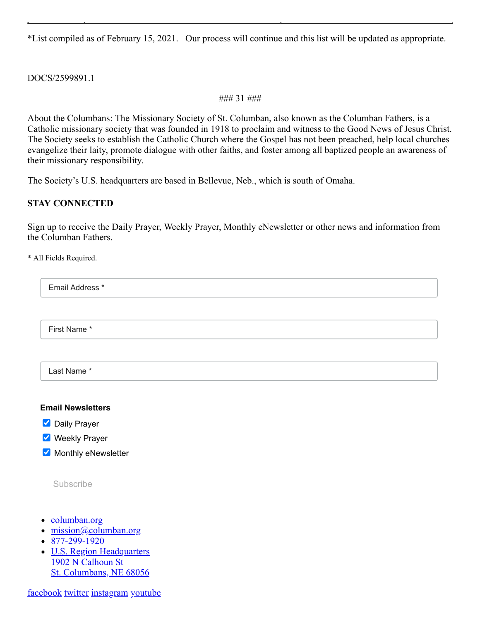\*List compiled as of February 15, 2021. Our process will continue and this list will be updated as appropriate.

#### DOCS/2599891.1

#### ### 31 ###

About the Columbans: The Missionary Society of St. Columban, also known as the Columban Fathers, is a Catholic missionary society that was founded in 1918 to proclaim and witness to the Good News of Jesus Christ. The Society seeks to establish the Catholic Church where the Gospel has not been preached, help local churches evangelize their laity, promote dialogue with other faiths, and foster among all baptized people an awareness of their missionary responsibility.

The Society's U.S. headquarters are based in Bellevue, Neb., which is south of Omaha.

## **STAY CONNECTED**

Sign up to receive the Daily Prayer, Weekly Prayer, Monthly eNewsletter or other news and information from the Columban Fathers.

\* All Fields Required.

Email Address \*

First Name \*

Last Name \*

#### **Email Newsletters**

**Daily Prayer** 

- **Weekly Prayer**
- Monthly eNewsletter

Subscribe

- [columban.org](https://web.archive.org/web/20210617074917/https://columban.org/)
- [mission@columban.org](https://web.archive.org/web/20210617074917/mailto:mission@columban.org)
- $\cdot$  [877-299-1920](tel:18772991920)
- [U.S. Region Headquarters](https://web.archive.org/web/20210617074917/https://www.google.com/maps/place/1902+Calhoun+St,+Bellevue,+NE+68005/@41.1407111,-95.9069383,17z/data=!3m1!4b1!4m5!3m4!1s0x8793880f45e3a58b:0xb7d72928f4194d79!8m2!3d41.1407111!4d-95.9047496) 1902 N Calhoun St St. Columbans, NE 68056

[facebook](https://web.archive.org/web/20210617074917/https://www.facebook.com/ColumbanFathers) [twitter](https://web.archive.org/web/20210617074917/https://twitter.com/ColumbanFathers) [instagram](https://web.archive.org/web/20210617074917/https://www.instagram.com/columbanfathers/) [youtube](https://web.archive.org/web/20210617074917/https://www.youtube.com/user/ColumbanFathers)